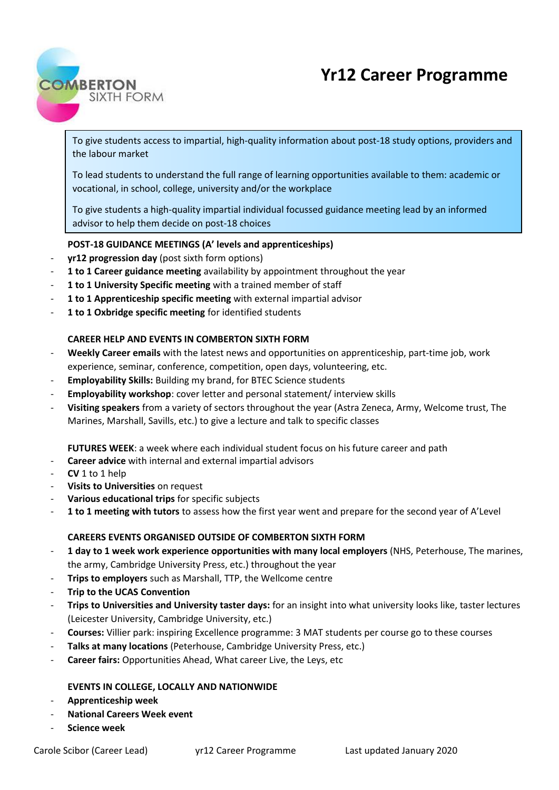# **Yr12 Career Programme**



To give students access to impartial, high-quality information about post-18 study options, providers and the labour market

To lead students to understand the full range of learning opportunities available to them: academic or vocational, in school, college, university and/or the workplace

To give students a high-quality impartial individual focussed guidance meeting lead by an informed advisor to help them decide on post-18 choices

# **POST-18 GUIDANCE MEETINGS (A' levels and apprenticeships)**

- **yr12 progression day** (post sixth form options)
- 1 to 1 Career guidance meeting availability by appointment throughout the year
- 1 to 1 University Specific meeting with a trained member of staff
- **1 to 1 Apprenticeship specific meeting** with external impartial advisor
- **1 to 1 Oxbridge specific meeting** for identified students

# **CAREER HELP AND EVENTS IN COMBERTON SIXTH FORM**

- **Weekly Career emails** with the latest news and opportunities on apprenticeship, part-time job, work experience, seminar, conference, competition, open days, volunteering, etc.
- **Employability Skills:** Building my brand, for BTEC Science students
- **Employability workshop**: cover letter and personal statement/ interview skills
- **Visiting speakers** from a variety of sectors throughout the year (Astra Zeneca, Army, Welcome trust, The Marines, Marshall, Savills, etc.) to give a lecture and talk to specific classes

**FUTURES WEEK**: a week where each individual student focus on his future career and path

- **Career advice** with internal and external impartial advisors
- **CV** 1 to 1 help
- **Visits to Universities** on request
- Various educational trips for specific subjects
- **1 to 1 meeting with tutors** to assess how the first year went and prepare for the second year of A'Level

# **CAREERS EVENTS ORGANISED OUTSIDE OF COMBERTON SIXTH FORM**

- **1 day to 1 week work experience opportunities with many local employers** (NHS, Peterhouse, The marines, the army, Cambridge University Press, etc.) throughout the year
- **Trips to employers** such as Marshall, TTP, the Wellcome centre
- **Trip to the UCAS Convention**
- **Trips to Universities and University taster days:** for an insight into what university looks like, taster lectures (Leicester University, Cambridge University, etc.)
- **Courses:** Villier park: inspiring Excellence programme: 3 MAT students per course go to these courses
- Talks at many locations (Peterhouse, Cambridge University Press, etc.)
- Career fairs: Opportunities Ahead, What career Live, the Leys, etc

### **EVENTS IN COLLEGE, LOCALLY AND NATIONWIDE**

- **Apprenticeship week**
- **National Careers Week event**
- **Science week**